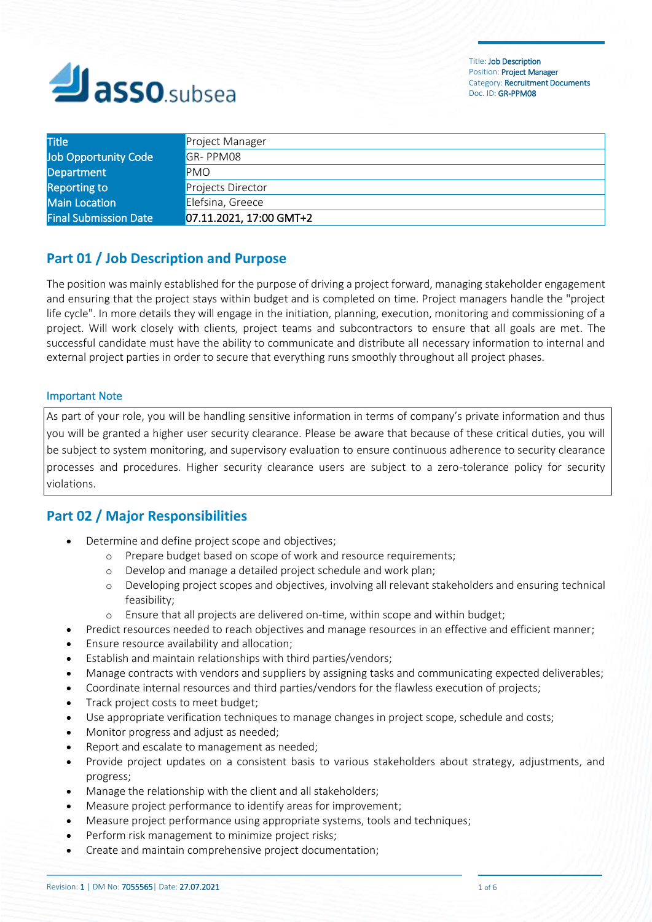

| <b>Title</b>                 | Project Manager         |
|------------------------------|-------------------------|
| <b>Job Opportunity Code</b>  | GR-PPM08                |
| Department                   | <b>PMO</b>              |
| <b>Reporting to</b>          | Projects Director       |
| Main Location                | Elefsina, Greece        |
| <b>Final Submission Date</b> | 07.11.2021, 17:00 GMT+2 |

## **Part 01 / Job Description and Purpose**

The position was mainly established for the purpose of driving a project forward, managing stakeholder engagement and ensuring that the [project stays within budget](https://www.aipm.com.au/blog/articles/keeping-your-project-on-budget-and-avoiding-projec.aspx) and is completed on time. Project managers handle the "project life cycle". In more details they will engage in the initiation, planning, execution, monitoring and commissioning of a project. Will work closely with clients, project teams and subcontractors to ensure that all goals are met. The successful candidate must have the ability to communicate and distribute all necessary information to internal and external project parties in order to secure that everything runs smoothly throughout all project phases.

#### Important Note

As part of your role, you will be handling sensitive information in terms of company's private information and thus you will be granted a higher user security clearance. Please be aware that because of these critical duties, you will be subject to system monitoring, and supervisory evaluation to ensure continuous adherence to security clearance processes and procedures. Higher security clearance users are subject to a zero-tolerance policy for security violations.

# **Part 02 / Major Responsibilities**

- Determine and define project scope and objectives;
	- o Prepare budget based on scope of work and resource requirements;
	- o Develop and manage a detailed project schedule and work plan;
	- o Developing project scopes and objectives, involving all relevant stakeholders and ensuring [technical](https://resources.workable.com/digital-project-manager-job-description) [feasibility;](https://resources.workable.com/digital-project-manager-job-description)
	- o Ensure that all projects are delivered on-time, within scope and within budget;
	- Predict resources needed to reach objectives and manage resources in an effective and efficient manner;
- Ensure resource availability and allocation;
- Establish and maintain relationships with third parties/vendors;
- Manage contracts with vendors and suppliers by assigning tasks and communicating expected deliverables;
- Coordinate internal resources and third parties/vendors for the flawless execution of projects;
- Track project costs to meet budget;
- Use appropriate verification techniques to manage changes in project scope, schedule and costs;
- Monitor progress and adjust as needed;
- Report and escalate to management as needed;
- Provide project updates on a consistent basis to various stakeholders about strategy, adjustments, and progress;
- Manage the relationship with the client and all stakeholders;
- Measure project performance to identify areas for improvement;
- Measure project performance using appropriate systems, tools and techniques;
- Perform risk management to minimize project risks;
- Create and maintain comprehensive project documentation;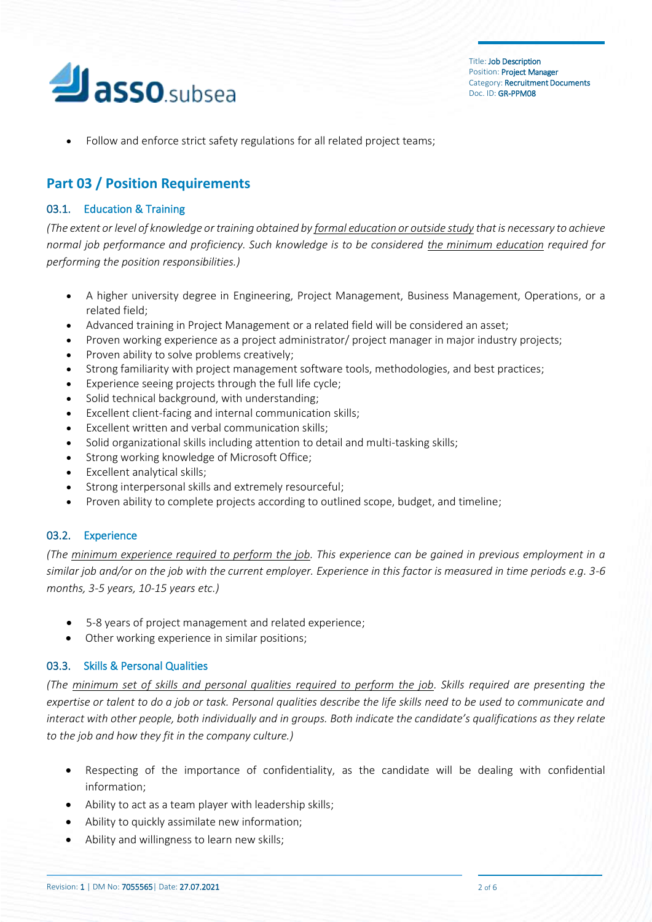

• Follow and enforce strict safety regulations for all related project teams;

## **Part 03 / Position Requirements**

### 03.1. Education & Training

*(The extent or level of knowledge or training obtained by formal education or outside study that is necessary to achieve normal job performance and proficiency. Such knowledge is to be considered the minimum education required for performing the position responsibilities.)*

- A higher university degree in Engineering, Project Management, Business Management, Operations, or a related field;
- Advanced training in Project Management or a related field will be considered an asset;
- Proven working experience as a project administrator/ project manager in major industry projects;
- Proven ability to solve problems creatively;
- Strong familiarity with project management software tools, methodologies, and best practices;
- Experience seeing projects through the full life cycle;
- Solid technical background, with understanding;
- Excellent client-facing and internal [communication skills;](https://resources.workable.com/project-manager-interview-questions)
- Excellent written and verbal communication skills;
- Solid organizational skills including attention to detail and multi-tasking skills;
- Strong working knowledge of Microsoft Office;
- Excellent analytical skills;
- Strong interpersonal skills and extremely resourceful;
- Proven ability to complete projects according to outlined scope, budget, and timeline;

### 03.2. Experience

*(The minimum experience required to perform the job. This experience can be gained in previous employment in a similar job and/or on the job with the current employer. Experience in this factor is measured in time periods e.g. 3-6 months, 3-5 years, 10-15 years etc.)*

- 5-8 years of project management and related experience;
- Other working experience in similar positions;

### 03.3. Skills & Personal Qualities

*(The minimum set of skills and personal qualities required to perform the job. Skills required are presenting the expertise or talent to do a job or task. Personal qualities describe the life skills need to be used to communicate and interact with other people, both individually and in groups. Both indicate the candidate's qualifications as they relate to the job and how they fit in the company culture.)*

- Respecting of the importance of confidentiality, as the candidate will be dealing with confidential information;
- Ability to act as a team player with leadership skills;
- Ability to quickly assimilate new information;
- Ability and willingness to learn new skills;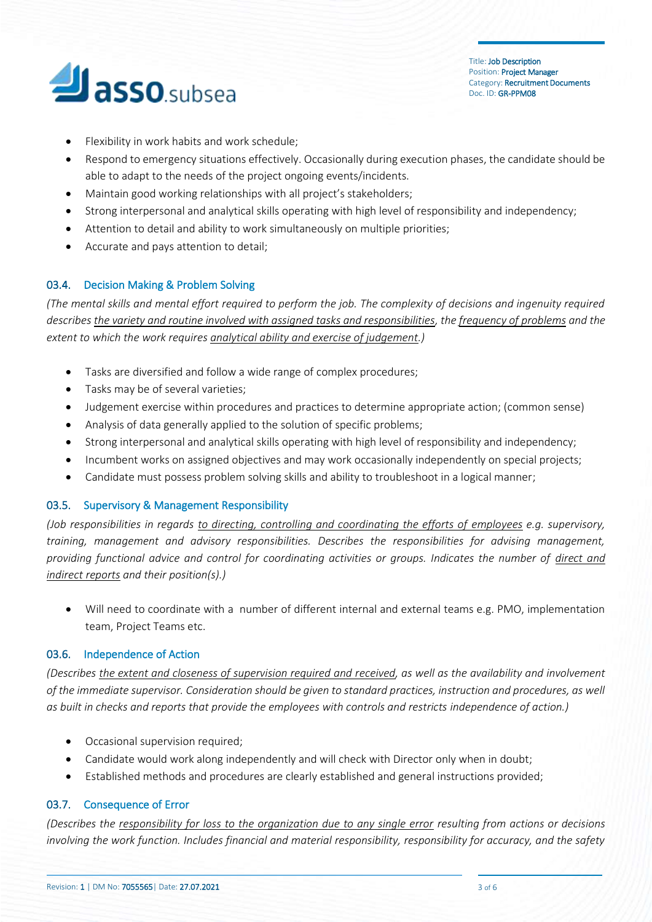

- Flexibility in work habits and work schedule;
- Respond to emergency situations effectively. Occasionally during execution phases, the candidate should be able to adapt to the needs of the project ongoing events/incidents.
- Maintain good working relationships with all project's stakeholders;
- Strong interpersonal and analytical skills operating with high level of responsibility and independency;
- Attention to detail and ability to work simultaneously on multiple priorities;
- Accurate and pays attention to detail;

## 03.4. Decision Making & Problem Solving

*(The mental skills and mental effort required to perform the job. The complexity of decisions and ingenuity required describes the variety and routine involved with assigned tasks and responsibilities, the frequency of problems and the extent to which the work requires analytical ability and exercise of judgement.)*

- Tasks are diversified and follow a wide range of complex procedures;
- Tasks may be of several varieties;
- Judgement exercise within procedures and practices to determine appropriate action; (common sense)
- Analysis of data generally applied to the solution of specific problems;
- Strong interpersonal and analytical skills operating with high level of responsibility and independency;
- Incumbent works on assigned objectives and may work occasionally independently on special projects;
- Candidate must possess problem solving skills and ability to troubleshoot in a logical manner;

### 03.5. Supervisory & Management Responsibility

*(Job responsibilities in regards to directing, controlling and coordinating the efforts of employees e.g. supervisory, training, management and advisory responsibilities. Describes the responsibilities for advising management, providing functional advice and control for coordinating activities or groups. Indicates the number of direct and indirect reports and their position(s).)*

• Will need to coordinate with a number of different internal and external teams e.g. PMO, implementation team, Project Teams etc.

### 03.6. Independence of Action

*(Describes the extent and closeness of supervision required and received, as well as the availability and involvement of the immediate supervisor. Consideration should be given to standard practices, instruction and procedures, as well as built in checks and reports that provide the employees with controls and restricts independence of action.)*

- Occasional supervision required;
- Candidate would work along independently and will check with Director only when in doubt;
- Established methods and procedures are clearly established and general instructions provided;

## 03.7. Consequence of Error

*(Describes the responsibility for loss to the organization due to any single error resulting from actions or decisions involving the work function. Includes financial and material responsibility, responsibility for accuracy, and the safety*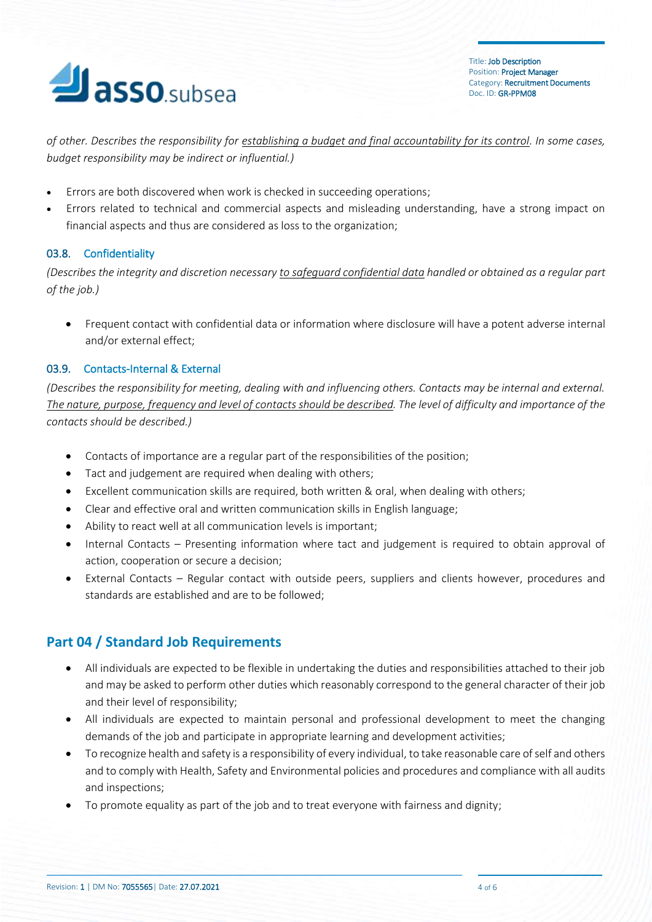

*of other. Describes the responsibility for establishing a budget and final accountability for its control. In some cases, budget responsibility may be indirect or influential.)*

- Errors are both discovered when work is checked in succeeding operations;
- Errors related to technical and commercial aspects and misleading understanding, have a strong impact on financial aspects and thus are considered as loss to the organization;

## 03.8. Confidentiality

*(Describes the integrity and discretion necessary to safeguard confidential data handled or obtained as a regular part of the job.)*

• Frequent contact with confidential data or information where disclosure will have a potent adverse internal and/or external effect;

### 03.9. Contacts-Internal & External

*(Describes the responsibility for meeting, dealing with and influencing others. Contacts may be internal and external. The nature, purpose, frequency and level of contacts should be described. The level of difficulty and importance of the contacts should be described.)*

- Contacts of importance are a regular part of the responsibilities of the position;
- Tact and judgement are required when dealing with others;
- Excellent communication skills are required, both written & oral, when dealing with others;
- Clear and effective oral and written communication skills in English language;
- Ability to react well at all communication levels is important;
- Internal Contacts Presenting information where tact and judgement is required to obtain approval of action, cooperation or secure a decision;
- External Contacts Regular contact with outside peers, suppliers and clients however, procedures and standards are established and are to be followed;

# **Part 04 / Standard Job Requirements**

- All individuals are expected to be flexible in undertaking the duties and responsibilities attached to their job and may be asked to perform other duties which reasonably correspond to the general character of their job and their level of responsibility;
- All individuals are expected to maintain personal and professional development to meet the changing demands of the job and participate in appropriate learning and development activities;
- To recognize health and safety is a responsibility of every individual, to take reasonable care of self and others and to comply with Health, Safety and Environmental policies and procedures and compliance with all audits and inspections;
- To promote equality as part of the job and to treat everyone with fairness and dignity;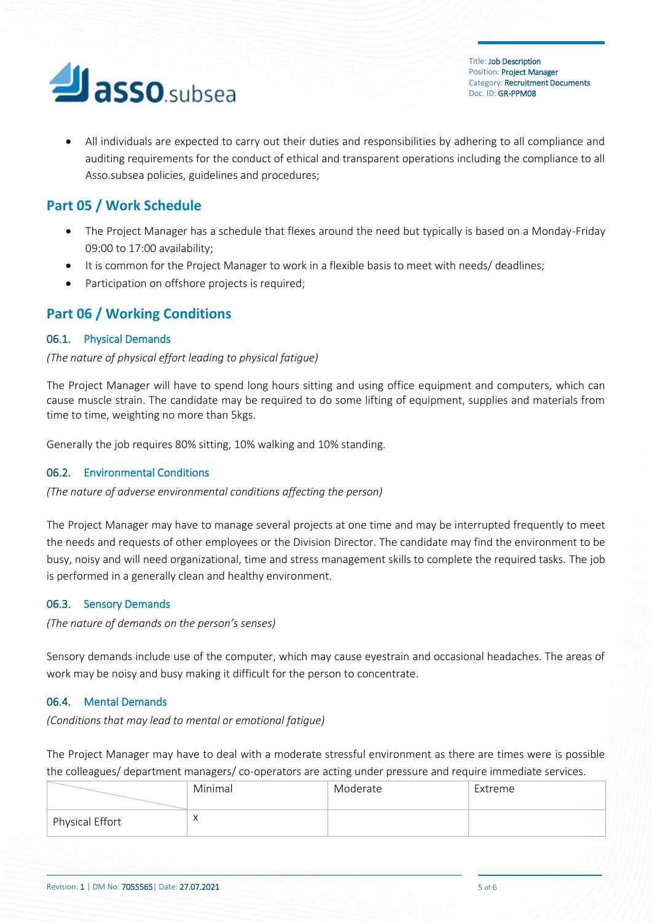

• All individuals are expected to carry out their duties and responsibilities by adhering to all compliance and auditing requirements for the conduct of ethical and transparent operations including the compliance to all Asso.subsea policies, guidelines and procedures;

# **Part 05 / Work Schedule**

- The Project Manager has a schedule that flexes around the need but typically is based on a Monday-Friday 09:00 to 17:00 availability;
- It is common for the Project Manager to work in a flexible basis to meet with needs/ deadlines;
- Participation on offshore projects is required;

## **Part 06 / Working Conditions**

## 06.1. Physical Demands

## *(The nature of physical effort leading to physical fatigue)*

The Project Manager will have to spend long hours sitting and using office equipment and computers, which can cause muscle strain. The candidate may be required to do some lifting of equipment, supplies and materials from time to time, weighting no more than 5kgs.

Generally the job requires 80% sitting, 10% walking and 10% standing.

## 06.2. Environmental Conditions

*(The nature of adverse environmental conditions affecting the person)*

The Project Manager may have to manage several projects at one time and may be interrupted frequently to meet the needs and requests of other employees or the Division Director. The candidate may find the environment to be busy, noisy and will need organizational, time and stress management skills to complete the required tasks. The job is performed in a generally clean and healthy environment.

### 06.3. Sensory Demands

*(The nature of demands on the person's senses)*

Sensory demands include use of the computer, which may cause eyestrain and occasional headaches. The areas of work may be noisy and busy making it difficult for the person to concentrate.

## 06.4. Mental Demands

*(Conditions that may lead to mental or emotional fatigue)*

The Project Manager may have to deal with a moderate stressful environment as there are times were is possible the colleagues/ department managers/ co-operators are acting under pressure and require immediate services.

|                        | Minimal   | Moderate | Extreme |
|------------------------|-----------|----------|---------|
| <b>Physical Effort</b> | $\lambda$ |          |         |